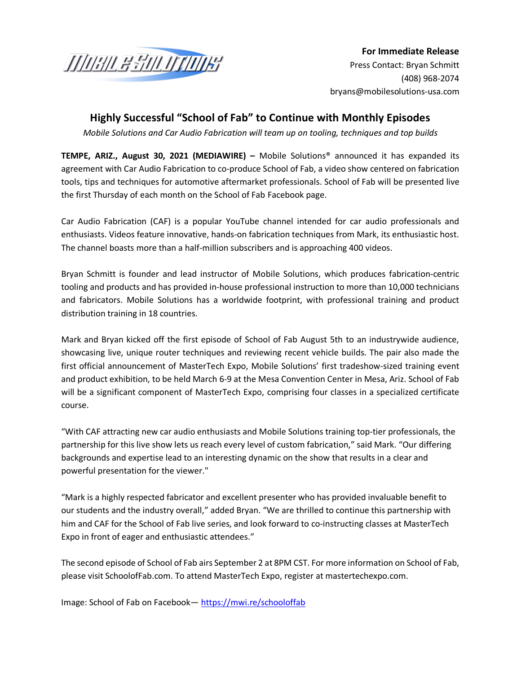

**For Immediate Release** Press Contact: Bryan Schmitt [\(408\) 9](mailto:jvarick@brandmotion.com)68-2074 bryans@mobilesolutions-usa.com

## **Highly Successful "School of Fab" to Continue with Monthly Episodes**

*Mobile Solutions and Car Audio Fabrication will team up on tooling, techniques and top builds*

**TEMPE, ARIZ., August 30, 2021 (MEDIAWIRE) –** Mobile Solutions® announced it has expanded its agreement with Car Audio Fabrication to co-produce School of Fab, a video show centered on fabrication tools, tips and techniques for automotive aftermarket professionals. School of Fab will be presented live the first Thursday of each month on the School of Fab Facebook page.

Car Audio Fabrication (CAF) is a popular YouTube channel intended for car audio professionals and enthusiasts. Videos feature innovative, hands-on fabrication techniques from Mark, its enthusiastic host. The channel boasts more than a half-million subscribers and is approaching 400 videos.

Bryan Schmitt is founder and lead instructor of Mobile Solutions, which produces fabrication-centric tooling and products and has provided in-house professional instruction to more than 10,000 technicians and fabricators. Mobile Solutions has a worldwide footprint, with professional training and product distribution training in 18 countries.

Mark and Bryan kicked off the first episode of School of Fab August 5th to an industrywide audience, showcasing live, unique router techniques and reviewing recent vehicle builds. The pair also made the first official announcement of MasterTech Expo, Mobile Solutions' first tradeshow-sized training event and product exhibition, to be held March 6-9 at the Mesa Convention Center in Mesa, Ariz. School of Fab will be a significant component of MasterTech Expo, comprising four classes in a specialized certificate course.

"With CAF attracting new car audio enthusiasts and Mobile Solutions training top-tier professionals, the partnership for this live show lets us reach every level of custom fabrication," said Mark. "Our differing backgrounds and expertise lead to an interesting dynamic on the show that results in a clear and powerful presentation for the viewer."

"Mark is a highly respected fabricator and excellent presenter who has provided invaluable benefit to our students and the industry overall," added Bryan. "We are thrilled to continue this partnership with him and CAF for the School of Fab live series, and look forward to co-instructing classes at MasterTech Expo in front of eager and enthusiastic attendees."

The second episode of School of Fab airs September 2 at 8PM CST. For more information on School of Fab, please visit SchoolofFab.com. To attend MasterTech Expo, register at mastertechexpo.com.

Image: School of Fab on Facebook— <https://mwi.re/schooloffab>